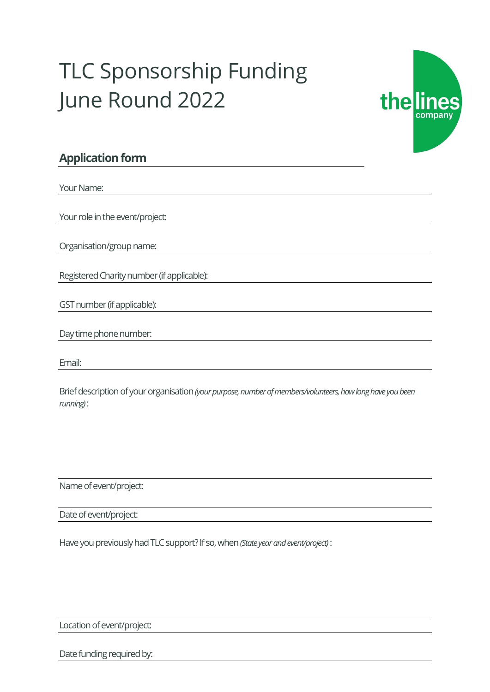## TLC Sponsorship Funding June Round 2022



## **Application form**

Your Name:

Your role in the event/project:

Organisation/group name:

Registered Charity number (if applicable):

GST number (if applicable):

Email:

Brief description of your organisation*(your purpose, number of members/volunteers, how long have you been running)*:

Name of event/project:

Date of event/project:

Have you previously had TLC support? If so, when *(State year and event/project)*:

Location of event/project:

Date funding required by: